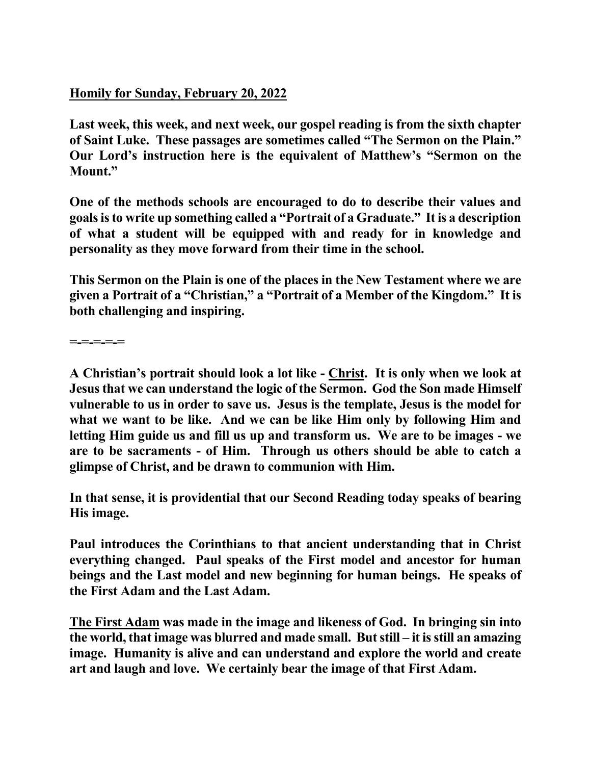## **Homily for Sunday, February 20, 2022**

**Last week, this week, and next week, our gospel reading is from the sixth chapter of Saint Luke. These passages are sometimes called "The Sermon on the Plain." Our Lord's instruction here is the equivalent of Matthew's "Sermon on the Mount."** 

**One of the methods schools are encouraged to do to describe their values and goals is to write up something called a "Portrait of a Graduate." It is a description of what a student will be equipped with and ready for in knowledge and personality as they move forward from their time in the school.** 

**This Sermon on the Plain is one of the places in the New Testament where we are given a Portrait of a "Christian," a "Portrait of a Member of the Kingdom." It is both challenging and inspiring.** 

**=-=-=-=-=** 

**A Christian's portrait should look a lot like - Christ. It is only when we look at Jesus that we can understand the logic of the Sermon. God the Son made Himself vulnerable to us in order to save us. Jesus is the template, Jesus is the model for what we want to be like. And we can be like Him only by following Him and letting Him guide us and fill us up and transform us. We are to be images - we are to be sacraments - of Him. Through us others should be able to catch a glimpse of Christ, and be drawn to communion with Him.** 

**In that sense, it is providential that our Second Reading today speaks of bearing His image.** 

**Paul introduces the Corinthians to that ancient understanding that in Christ everything changed. Paul speaks of the First model and ancestor for human beings and the Last model and new beginning for human beings. He speaks of the First Adam and the Last Adam.** 

**The First Adam was made in the image and likeness of God. In bringing sin into the world, that image was blurred and made small. But still – it is still an amazing image. Humanity is alive and can understand and explore the world and create art and laugh and love. We certainly bear the image of that First Adam.**